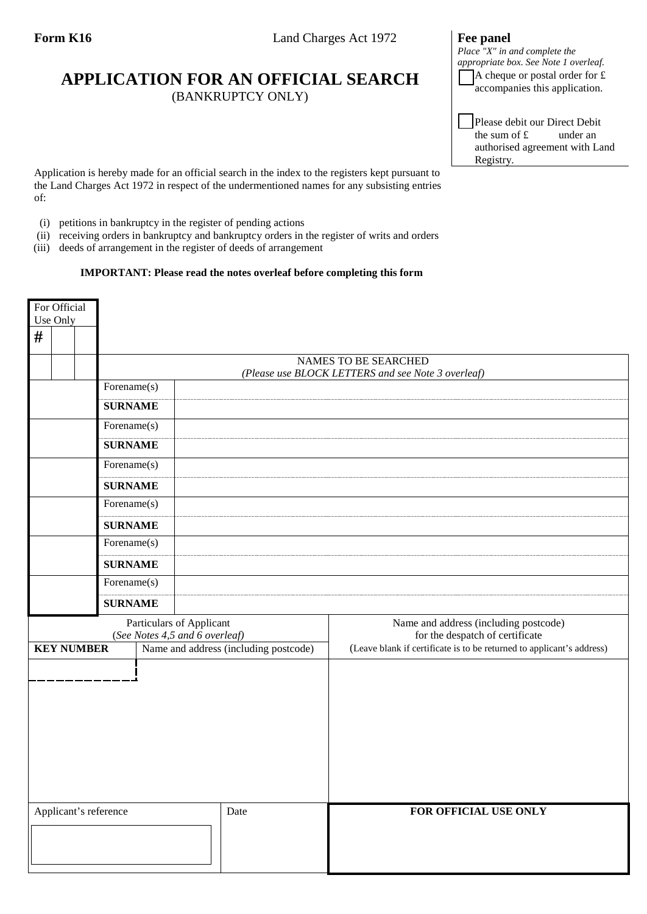## **APPLICATION FOR AN OFFICIAL SEARCH** (BANKRUPTCY ONLY)

## *Place "X" in and complete the appropriate box. See Note 1 overleaf.* A cheque or postal order for £

Please debit our Direct Debit<br>the sum of  $f$  under an the sum of  $f$ authorised agreement with Land Registry.

accompanies this application.

Application is hereby made for an official search in the index to the registers kept pursuant to the Land Charges Act 1972 in respect of the undermentioned names for any subsisting entries of:

- (i) petitions in bankruptcy in the register of pending actions
- (ii) receiving orders in bankruptcy and bankruptcy orders in the register of writs and orders
- (iii) deeds of arrangement in the register of deeds of arrangement

## **IMPORTANT: Please read the notes overleaf before completing this form**

| For Official<br>Use Only |  |                   |                                                                                   |  |                                       |      |                                                                          |
|--------------------------|--|-------------------|-----------------------------------------------------------------------------------|--|---------------------------------------|------|--------------------------------------------------------------------------|
| #                        |  |                   |                                                                                   |  |                                       |      |                                                                          |
|                          |  |                   | <b>NAMES TO BE SEARCHED</b><br>(Please use BLOCK LETTERS and see Note 3 overleaf) |  |                                       |      |                                                                          |
|                          |  | Forename(s)       |                                                                                   |  |                                       |      |                                                                          |
|                          |  |                   | <b>SURNAME</b>                                                                    |  |                                       |      |                                                                          |
|                          |  |                   | Forename(s)                                                                       |  |                                       |      |                                                                          |
|                          |  |                   | <b>SURNAME</b>                                                                    |  |                                       |      |                                                                          |
|                          |  |                   | Forename(s)                                                                       |  |                                       |      |                                                                          |
|                          |  |                   | <b>SURNAME</b>                                                                    |  |                                       |      |                                                                          |
|                          |  |                   | Forename(s)                                                                       |  |                                       |      |                                                                          |
|                          |  | <b>SURNAME</b>    |                                                                                   |  |                                       |      |                                                                          |
|                          |  |                   | Forename(s)                                                                       |  |                                       |      |                                                                          |
|                          |  |                   | <b>SURNAME</b>                                                                    |  |                                       |      |                                                                          |
|                          |  |                   | Forename(s)                                                                       |  |                                       |      |                                                                          |
|                          |  |                   | <b>SURNAME</b>                                                                    |  |                                       |      |                                                                          |
|                          |  |                   | Particulars of Applicant<br>(See Notes 4,5 and 6 overleaf)                        |  |                                       |      | Name and address (including postcode)<br>for the despatch of certificate |
|                          |  | <b>KEY NUMBER</b> |                                                                                   |  | Name and address (including postcode) |      | (Leave blank if certificate is to be returned to applicant's address)    |
|                          |  |                   |                                                                                   |  |                                       |      |                                                                          |
| Applicant's reference    |  |                   |                                                                                   |  |                                       | Date | FOR OFFICIAL USE ONLY                                                    |